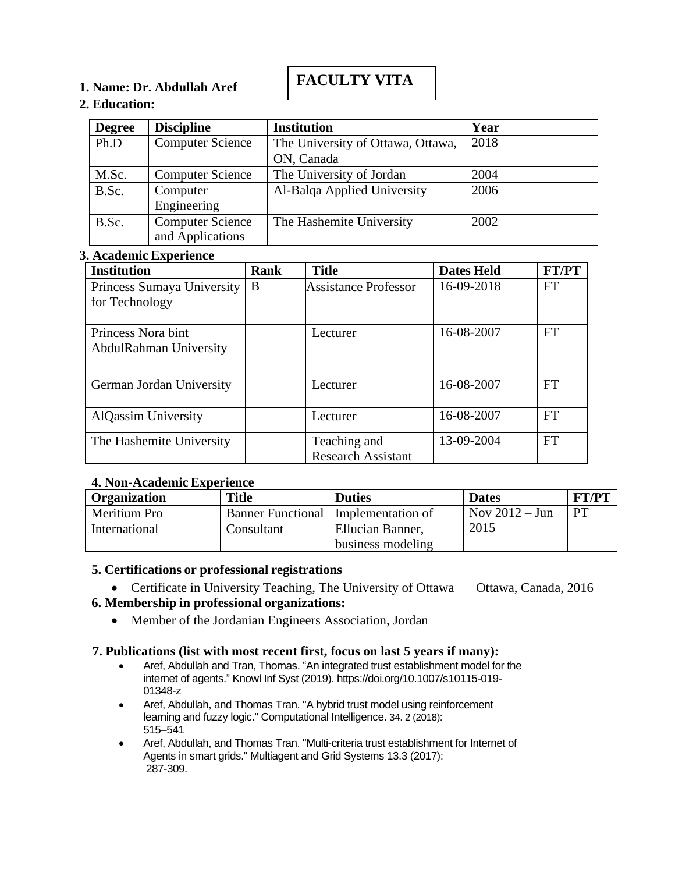# **FACULTY VITA**

# **1. Name: Dr. Abdullah Aref**

## **2. Education:**

| <b>Degree</b> | <b>Discipline</b>                           | <b>Institution</b>                | Year |
|---------------|---------------------------------------------|-----------------------------------|------|
| Ph.D          | <b>Computer Science</b>                     | The University of Ottawa, Ottawa, | 2018 |
|               |                                             | ON, Canada                        |      |
| M.Sc.         | <b>Computer Science</b>                     | The University of Jordan          | 2004 |
| B.Sc.         | Computer<br>Engineering                     | Al-Balqa Applied University       | 2006 |
| B.Sc.         | <b>Computer Science</b><br>and Applications | The Hashemite University          | 2002 |

# **3. Academic Experience**

| <b>Institution</b>         | Rank | <b>Title</b>              | <b>Dates Held</b> | FT/PT     |
|----------------------------|------|---------------------------|-------------------|-----------|
| Princess Sumaya University | B    | Assistance Professor      | 16-09-2018        | <b>FT</b> |
| for Technology             |      |                           |                   |           |
|                            |      |                           |                   |           |
| Princess Nora bint         |      | Lecturer                  | 16-08-2007        | <b>FT</b> |
| AbdulRahman University     |      |                           |                   |           |
|                            |      |                           |                   |           |
| German Jordan University   |      | Lecturer                  | 16-08-2007        | <b>FT</b> |
|                            |      |                           |                   |           |
| <b>AlQassim University</b> |      | Lecturer                  | 16-08-2007        | FT        |
|                            |      |                           |                   |           |
| The Hashemite University   |      | Teaching and              | 13-09-2004        | FT        |
|                            |      | <b>Research Assistant</b> |                   |           |

# **4. Non-Academic Experience**

| <b>Organization</b> | <b>Title</b> | <b>Duties</b>                         | <b>Dates</b>            | <b>FT/PT</b> |
|---------------------|--------------|---------------------------------------|-------------------------|--------------|
| Meritium Pro        |              | Banner Functional   Implementation of | Nov $2012 - \text{Jun}$ | <b>PT</b>    |
| International       | Consultant   | Ellucian Banner,                      | 2015                    |              |
|                     |              | business modeling                     |                         |              |

# **5. Certifications or professional registrations**

 $\mathbf{s}$ • Certificate in University Teaching, The University of Ottawa Ottawa, Canada, 2016

#### s:  $\blacksquare$ **6. Membership in professional organizations:**

• Member of the Jordanian Engineers Association, Jordan

# **7. Publications (list with most recent first, focus on last 5 years if many):**

- Aref, Abdullah and Tran, Thomas. "An integrated trust establishment model for the internet of agents." Knowl Inf Syst (2019). https://doi.org/10.1007/s10115-019- 01348-z
- Aref, Abdullah, and Thomas Tran. "A hybrid trust model using reinforcement learning and fuzzy logic." Computational Intelligence. 34. 2 (2018): 515–541
- Aref, Abdullah, and Thomas Tran. "Multi-criteria trust establishment for Internet of Agents in smart grids." Multiagent and Grid Systems 13.3 (2017): 287-309.